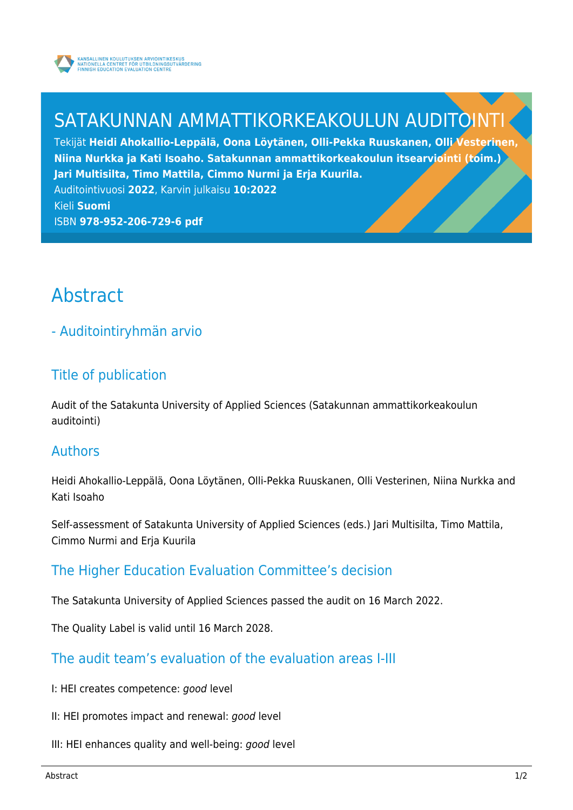

# SATAKUNNAN AMMATTIKORKEAKOULUN AUDITOINT

Tekijät **Heidi Ahokallio-Leppälä, Oona Löytänen, Olli-Pekka Ruuskanen, Olli Vesterinen, Niina Nurkka ja Kati Isoaho. Satakunnan ammattikorkeakoulun itsearviointi (toim.) Jari Multisilta, Timo Mattila, Cimmo Nurmi ja Erja Kuurila.** Auditointivuosi **2022**, Karvin julkaisu **10:2022**

Kieli **Suomi** ISBN **978-952-206-729-6 pdf**

# Abstract

## - Auditointiryhmän arvio

### Title of publication

Audit of the Satakunta University of Applied Sciences (Satakunnan ammattikorkeakoulun auditointi)

#### Authors

Heidi Ahokallio-Leppälä, Oona Löytänen, Olli-Pekka Ruuskanen, Olli Vesterinen, Niina Nurkka and Kati Isoaho

Self-assessment of Satakunta University of Applied Sciences (eds.) Jari Multisilta, Timo Mattila, Cimmo Nurmi and Erja Kuurila

### The Higher Education Evaluation Committee's decision

The Satakunta University of Applied Sciences passed the audit on 16 March 2022.

The Quality Label is valid until 16 March 2028.

#### The audit team's evaluation of the evaluation areas I-III

- I: HEI creates competence: good level
- II: HEI promotes impact and renewal: good level
- III: HEI enhances quality and well-being: good level